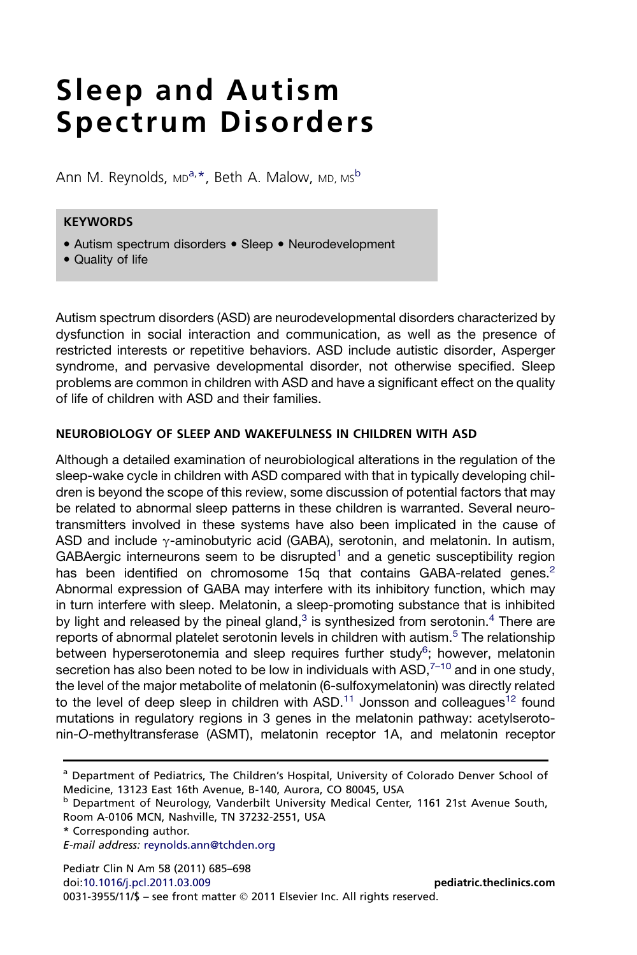# Sleep and Autism Spectrum Disorders

Ann M. Reynolds, Mp<sup>a,\*</sup>, Beth A. Malow, Mp. Ms<sup>b</sup>

# **KEYWORDS**

- Autism spectrum disorders Sleep Neurodevelopment
- Quality of life

Autism spectrum disorders (ASD) are neurodevelopmental disorders characterized by dysfunction in social interaction and communication, as well as the presence of restricted interests or repetitive behaviors. ASD include autistic disorder, Asperger syndrome, and pervasive developmental disorder, not otherwise specified. Sleep problems are common in children with ASD and have a significant effect on the quality of life of children with ASD and their families.

# NEUROBIOLOGY OF SLEEP AND WAKEFULNESS IN CHILDREN WITH ASD

Although a detailed examination of neurobiological alterations in the regulation of the sleep-wake cycle in children with ASD compared with that in typically developing children is beyond the scope of this review, some discussion of potential factors that may be related to abnormal sleep patterns in these children is warranted. Several neurotransmitters involved in these systems have also been implicated in the cause of ASD and include  $\gamma$ -aminobutyric acid (GABA), serotonin, and melatonin. In autism, GABAergic interneurons seem to be disrupted $1$  and a genetic susceptibility region has been identified on chromosome 15q that contains GABA-related genes.<sup>[2](#page-10-0)</sup> Abnormal expression of GABA may interfere with its inhibitory function, which may in turn interfere with sleep. Melatonin, a sleep-promoting substance that is inhibited by light and released by the pineal gland, $3$  is synthesized from serotonin.<sup>[4](#page-10-0)</sup> There are reports of abnormal platelet serotonin levels in children with autism.<sup>[5](#page-10-0)</sup> The relationship between hyperserotonemia and sleep requires further study<sup>[6](#page-10-0)</sup>; however, melatonin secretion has also been noted to be low in individuals with ASD, $7-10$  and in one study, the level of the major metabolite of melatonin (6-sulfoxymelatonin) was directly related to the level of deep sleep in children with ASD.<sup>[11](#page-10-0)</sup> Jonsson and colleagues<sup>[12](#page-10-0)</sup> found mutations in regulatory regions in 3 genes in the melatonin pathway: acetylserotonin-*O*-methyltransferase (ASMT), melatonin receptor 1A, and melatonin receptor

Pediatr Clin N Am 58 (2011) 685–698 doi[:10.1016/j.pcl.2011.03.009](http://dx.doi.org/10.1016/j.pcl.2011.03.009) [pediatric.theclinics.com](http://pediatric.theclinics.com)

<sup>&</sup>lt;sup>a</sup> Department of Pediatrics, The Children's Hospital, University of Colorado Denver School of Medicine, 13123 East 16th Avenue, B-140, Aurora, CO 80045, USA

<sup>&</sup>lt;sup>b</sup> Department of Neurology, Vanderbilt University Medical Center, 1161 21st Avenue South, Room A-0106 MCN, Nashville, TN 37232-2551, USA

<sup>\*</sup> Corresponding author.

E-mail address: [reynolds.ann@tchden.org](mailto:reynolds.ann@tchden.org)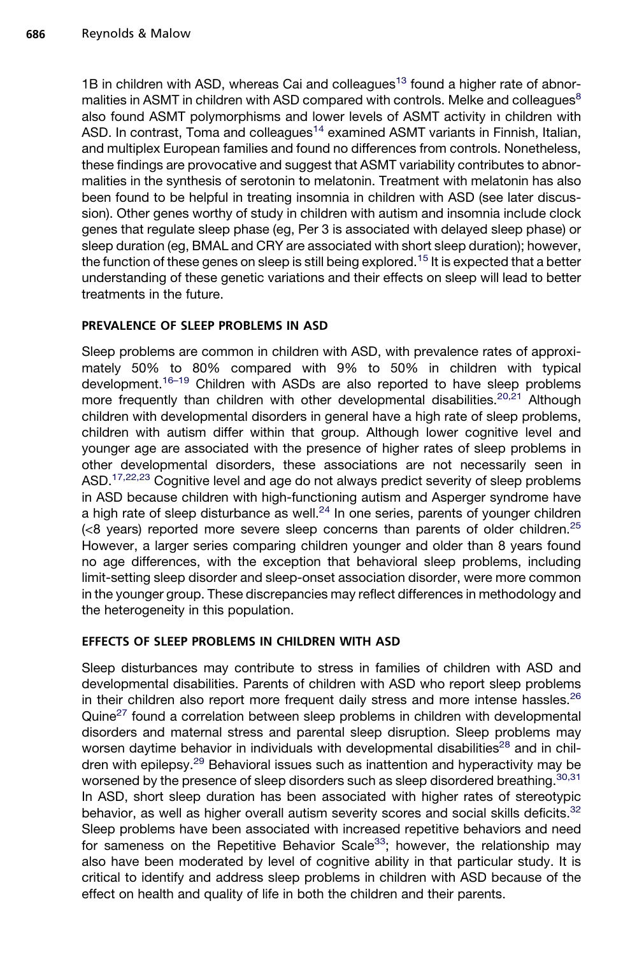1B in children with ASD, whereas Cai and colleagues<sup>[13](#page-10-0)</sup> found a higher rate of abnor-malities in ASMT in children with ASD compared with controls. Melke and colleagues<sup>[8](#page-10-0)</sup> also found ASMT polymorphisms and lower levels of ASMT activity in children with ASD. In contrast, Toma and colleagues<sup>[14](#page-10-0)</sup> examined ASMT variants in Finnish, Italian, and multiplex European families and found no differences from controls. Nonetheless, these findings are provocative and suggest that ASMT variability contributes to abnormalities in the synthesis of serotonin to melatonin. Treatment with melatonin has also been found to be helpful in treating insomnia in children with ASD (see later discussion). Other genes worthy of study in children with autism and insomnia include clock genes that regulate sleep phase (eg, Per 3 is associated with delayed sleep phase) or sleep duration (eg, BMAL and CRY are associated with short sleep duration); however, the function of these genes on sleep is still being explored.<sup>[15](#page-10-0)</sup> It is expected that a better understanding of these genetic variations and their effects on sleep will lead to better treatments in the future.

# PREVALENCE OF SLEEP PROBLEMS IN ASD

Sleep problems are common in children with ASD, with prevalence rates of approximately 50% to 80% compared with 9% to 50% in children with typical development.[16–19](#page-10-0) Children with ASDs are also reported to have sleep problems more frequently than children with other developmental disabilities.<sup>[20,21](#page-11-0)</sup> Although children with developmental disorders in general have a high rate of sleep problems, children with autism differ within that group. Although lower cognitive level and younger age are associated with the presence of higher rates of sleep problems in other developmental disorders, these associations are not necessarily seen in ASD.<sup>[17,22,23](#page-10-0)</sup> Cognitive level and age do not always predict severity of sleep problems in ASD because children with high-functioning autism and Asperger syndrome have a high rate of sleep disturbance as well. $^{24}$  In one series, parents of younger children (<8 years) reported more severe sleep concerns than parents of older children.[25](#page-11-0) However, a larger series comparing children younger and older than 8 years found no age differences, with the exception that behavioral sleep problems, including limit-setting sleep disorder and sleep-onset association disorder, were more common in the younger group. These discrepancies may reflect differences in methodology and the heterogeneity in this population.

### EFFECTS OF SLEEP PROBLEMS IN CHILDREN WITH ASD

Sleep disturbances may contribute to stress in families of children with ASD and developmental disabilities. Parents of children with ASD who report sleep problems in their children also report more frequent daily stress and more intense hassles. $26$ Quine<sup>[27](#page-11-0)</sup> found a correlation between sleep problems in children with developmental disorders and maternal stress and parental sleep disruption. Sleep problems may worsen daytime behavior in individuals with developmental disabilities<sup>[28](#page-11-0)</sup> and in chil-dren with epilepsy.<sup>[29](#page-11-0)</sup> Behavioral issues such as inattention and hyperactivity may be worsened by the presence of sleep disorders such as sleep disordered breathing.<sup>[30,31](#page-11-0)</sup> In ASD, short sleep duration has been associated with higher rates of stereotypic behavior, as well as higher overall autism severity scores and social skills deficits.<sup>[32](#page-11-0)</sup> Sleep problems have been associated with increased repetitive behaviors and need for sameness on the Repetitive Behavior Scale<sup>[33](#page-11-0)</sup>; however, the relationship may also have been moderated by level of cognitive ability in that particular study. It is critical to identify and address sleep problems in children with ASD because of the effect on health and quality of life in both the children and their parents.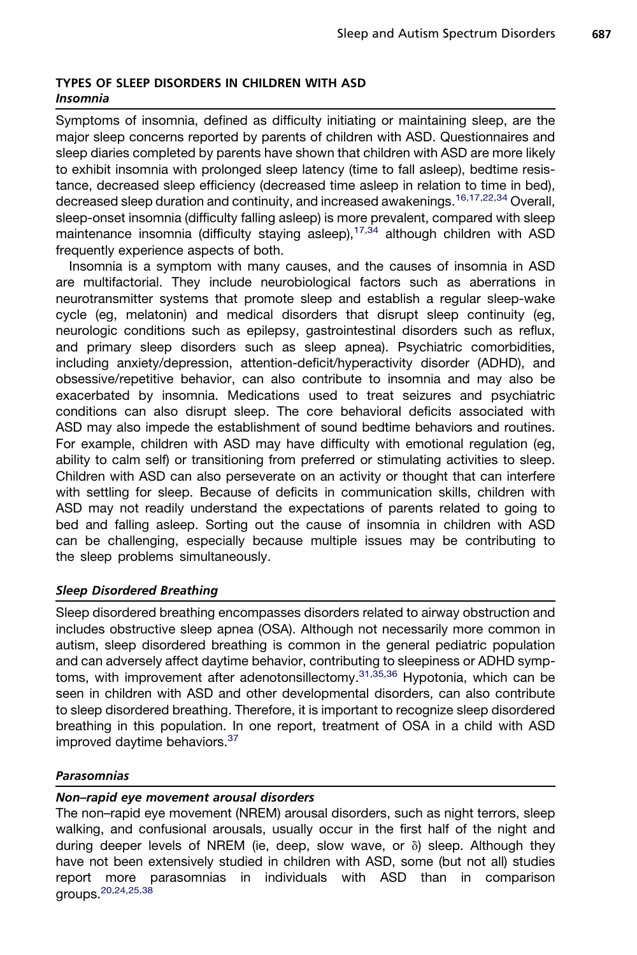# TYPES OF SLEEP DISORDERS IN CHILDREN WITH ASD Insomnia

Symptoms of insomnia, defined as difficulty initiating or maintaining sleep, are the major sleep concerns reported by parents of children with ASD. Questionnaires and sleep diaries completed by parents have shown that children with ASD are more likely to exhibit insomnia with prolonged sleep latency (time to fall asleep), bedtime resistance, decreased sleep efficiency (decreased time asleep in relation to time in bed), decreased sleep duration and continuity, and increased awakenings.[16,17,22,34](#page-10-0) Overall, sleep-onset insomnia (difficulty falling asleep) is more prevalent, compared with sleep maintenance insomnia (difficulty staying asleep),  $17,34$  although children with ASD frequently experience aspects of both.

Insomnia is a symptom with many causes, and the causes of insomnia in ASD are multifactorial. They include neurobiological factors such as aberrations in neurotransmitter systems that promote sleep and establish a regular sleep-wake cycle (eg, melatonin) and medical disorders that disrupt sleep continuity (eg, neurologic conditions such as epilepsy, gastrointestinal disorders such as reflux, and primary sleep disorders such as sleep apnea). Psychiatric comorbidities, including anxiety/depression, attention-deficit/hyperactivity disorder (ADHD), and obsessive/repetitive behavior, can also contribute to insomnia and may also be exacerbated by insomnia. Medications used to treat seizures and psychiatric conditions can also disrupt sleep. The core behavioral deficits associated with ASD may also impede the establishment of sound bedtime behaviors and routines. For example, children with ASD may have difficulty with emotional regulation (eg, ability to calm self) or transitioning from preferred or stimulating activities to sleep. Children with ASD can also perseverate on an activity or thought that can interfere with settling for sleep. Because of deficits in communication skills, children with ASD may not readily understand the expectations of parents related to going to bed and falling asleep. Sorting out the cause of insomnia in children with ASD can be challenging, especially because multiple issues may be contributing to the sleep problems simultaneously.

# Sleep Disordered Breathing

Sleep disordered breathing encompasses disorders related to airway obstruction and includes obstructive sleep apnea (OSA). Although not necessarily more common in autism, sleep disordered breathing is common in the general pediatric population and can adversely affect daytime behavior, contributing to sleepiness or ADHD symp-toms, with improvement after adenotonsillectomy.<sup>[31,35,36](#page-11-0)</sup> Hypotonia, which can be seen in children with ASD and other developmental disorders, can also contribute to sleep disordered breathing. Therefore, it is important to recognize sleep disordered breathing in this population. In one report, treatment of OSA in a child with ASD improved daytime behaviors.<sup>[37](#page-11-0)</sup>

# Parasomnias

# Non–rapid eye movement arousal disorders

The non–rapid eye movement (NREM) arousal disorders, such as night terrors, sleep walking, and confusional arousals, usually occur in the first half of the night and during deeper levels of NREM (ie, deep, slow wave, or  $\delta$ ) sleep. Although they have not been extensively studied in children with ASD, some (but not all) studies report more parasomnias in individuals with ASD than in comparison groups[.20,24,25,38](#page-11-0)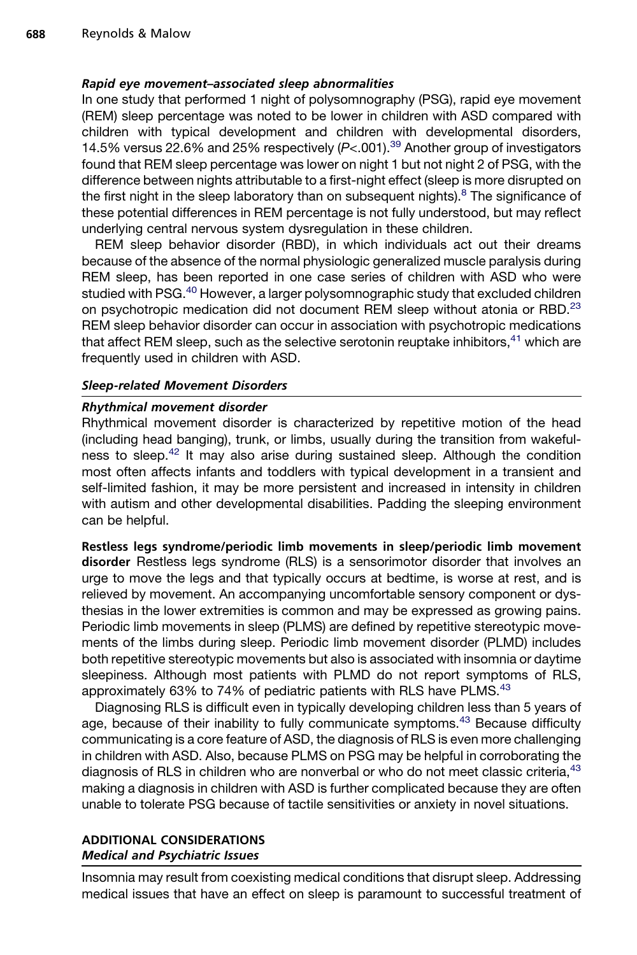#### Rapid eye movement–associated sleep abnormalities

In one study that performed 1 night of polysomnography (PSG), rapid eye movement (REM) sleep percentage was noted to be lower in children with ASD compared with children with typical development and children with developmental disorders, 14.5% versus 22.6% and 25% respectively (*P*<.001).[39](#page-11-0) Another group of investigators found that REM sleep percentage was lower on night 1 but not night 2 of PSG, with the difference between nights attributable to a first-night effect (sleep is more disrupted on the first night in the sleep laboratory than on subsequent nights). $8$  The significance of these potential differences in REM percentage is not fully understood, but may reflect underlying central nervous system dysregulation in these children.

REM sleep behavior disorder (RBD), in which individuals act out their dreams because of the absence of the normal physiologic generalized muscle paralysis during REM sleep, has been reported in one case series of children with ASD who were studied with PSG.<sup>[40](#page-11-0)</sup> However, a larger polysomnographic study that excluded children on psychotropic medication did not document REM sleep without atonia or RBD.<sup>[23](#page-11-0)</sup> REM sleep behavior disorder can occur in association with psychotropic medications that affect REM sleep, such as the selective serotonin reuptake inhibitors, $41$  which are frequently used in children with ASD.

#### Sleep-related Movement Disorders

#### Rhythmical movement disorder

Rhythmical movement disorder is characterized by repetitive motion of the head (including head banging), trunk, or limbs, usually during the transition from wakefulness to sleep. $42$  It may also arise during sustained sleep. Although the condition most often affects infants and toddlers with typical development in a transient and self-limited fashion, it may be more persistent and increased in intensity in children with autism and other developmental disabilities. Padding the sleeping environment can be helpful.

Restless legs syndrome/periodic limb movements in sleep/periodic limb movement disorder Restless legs syndrome (RLS) is a sensorimotor disorder that involves an urge to move the legs and that typically occurs at bedtime, is worse at rest, and is relieved by movement. An accompanying uncomfortable sensory component or dysthesias in the lower extremities is common and may be expressed as growing pains. Periodic limb movements in sleep (PLMS) are defined by repetitive stereotypic movements of the limbs during sleep. Periodic limb movement disorder (PLMD) includes both repetitive stereotypic movements but also is associated with insomnia or daytime sleepiness. Although most patients with PLMD do not report symptoms of RLS, approximately 63% to 74% of pediatric patients with RLS have PLMS.<sup>[43](#page-12-0)</sup>

Diagnosing RLS is difficult even in typically developing children less than 5 years of age, because of their inability to fully communicate symptoms.<sup>[43](#page-12-0)</sup> Because difficulty communicating is a core feature of ASD, the diagnosis of RLS is even more challenging in children with ASD. Also, because PLMS on PSG may be helpful in corroborating the diagnosis of RLS in children who are nonverbal or who do not meet classic criteria, <sup>[43](#page-12-0)</sup> making a diagnosis in children with ASD is further complicated because they are often unable to tolerate PSG because of tactile sensitivities or anxiety in novel situations.

# ADDITIONAL CONSIDERATIONS Medical and Psychiatric Issues

Insomnia may result from coexisting medical conditions that disrupt sleep. Addressing medical issues that have an effect on sleep is paramount to successful treatment of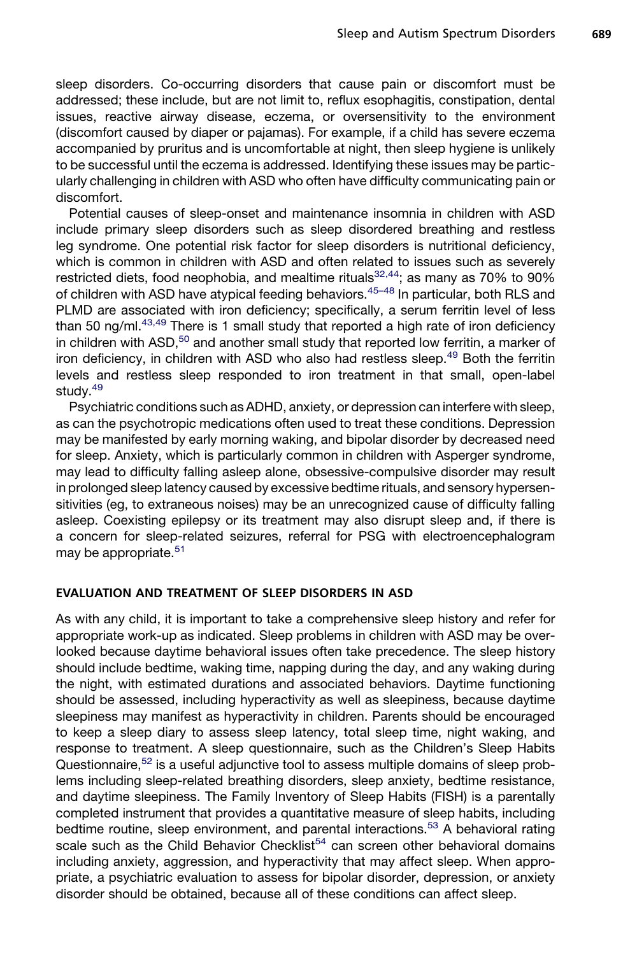sleep disorders. Co-occurring disorders that cause pain or discomfort must be addressed; these include, but are not limit to, reflux esophagitis, constipation, dental issues, reactive airway disease, eczema, or oversensitivity to the environment (discomfort caused by diaper or pajamas). For example, if a child has severe eczema accompanied by pruritus and is uncomfortable at night, then sleep hygiene is unlikely to be successful until the eczema is addressed. Identifying these issues may be particularly challenging in children with ASD who often have difficulty communicating pain or discomfort.

Potential causes of sleep-onset and maintenance insomnia in children with ASD include primary sleep disorders such as sleep disordered breathing and restless leg syndrome. One potential risk factor for sleep disorders is nutritional deficiency, which is common in children with ASD and often related to issues such as severely restricted diets, food neophobia, and mealtime rituals $32,44$ ; as many as 70% to 90% of children with ASD have atypical feeding behaviors.<sup>[45–48](#page-12-0)</sup> In particular, both RLS and PLMD are associated with iron deficiency; specifically, a serum ferritin level of less than 50 ng/ml. $43,49$  There is 1 small study that reported a high rate of iron deficiency in children with  $ASD<sub>1</sub>$ <sup>50</sup> and another small study that reported low ferritin, a marker of iron deficiency, in children with ASD who also had restless sleep.<sup>[49](#page-12-0)</sup> Both the ferritin levels and restless sleep responded to iron treatment in that small, open-label study.<sup>49</sup>

Psychiatric conditions such as ADHD, anxiety, or depression can interfere with sleep, as can the psychotropic medications often used to treat these conditions. Depression may be manifested by early morning waking, and bipolar disorder by decreased need for sleep. Anxiety, which is particularly common in children with Asperger syndrome, may lead to difficulty falling asleep alone, obsessive-compulsive disorder may result in prolonged sleep latency caused by excessive bedtime rituals, and sensory hypersensitivities (eg, to extraneous noises) may be an unrecognized cause of difficulty falling asleep. Coexisting epilepsy or its treatment may also disrupt sleep and, if there is a concern for sleep-related seizures, referral for PSG with electroencephalogram may be appropriate.<sup>[51](#page-12-0)</sup>

#### EVALUATION AND TREATMENT OF SLEEP DISORDERS IN ASD

As with any child, it is important to take a comprehensive sleep history and refer for appropriate work-up as indicated. Sleep problems in children with ASD may be overlooked because daytime behavioral issues often take precedence. The sleep history should include bedtime, waking time, napping during the day, and any waking during the night, with estimated durations and associated behaviors. Daytime functioning should be assessed, including hyperactivity as well as sleepiness, because daytime sleepiness may manifest as hyperactivity in children. Parents should be encouraged to keep a sleep diary to assess sleep latency, total sleep time, night waking, and response to treatment. A sleep questionnaire, such as the Children's Sleep Habits Questionnaire,<sup>[52](#page-12-0)</sup> is a useful adjunctive tool to assess multiple domains of sleep problems including sleep-related breathing disorders, sleep anxiety, bedtime resistance, and daytime sleepiness. The Family Inventory of Sleep Habits (FISH) is a parentally completed instrument that provides a quantitative measure of sleep habits, including bedtime routine, sleep environment, and parental interactions.<sup>[53](#page-12-0)</sup> A behavioral rating scale such as the Child Behavior Checklist<sup>[54](#page-12-0)</sup> can screen other behavioral domains including anxiety, aggression, and hyperactivity that may affect sleep. When appropriate, a psychiatric evaluation to assess for bipolar disorder, depression, or anxiety disorder should be obtained, because all of these conditions can affect sleep.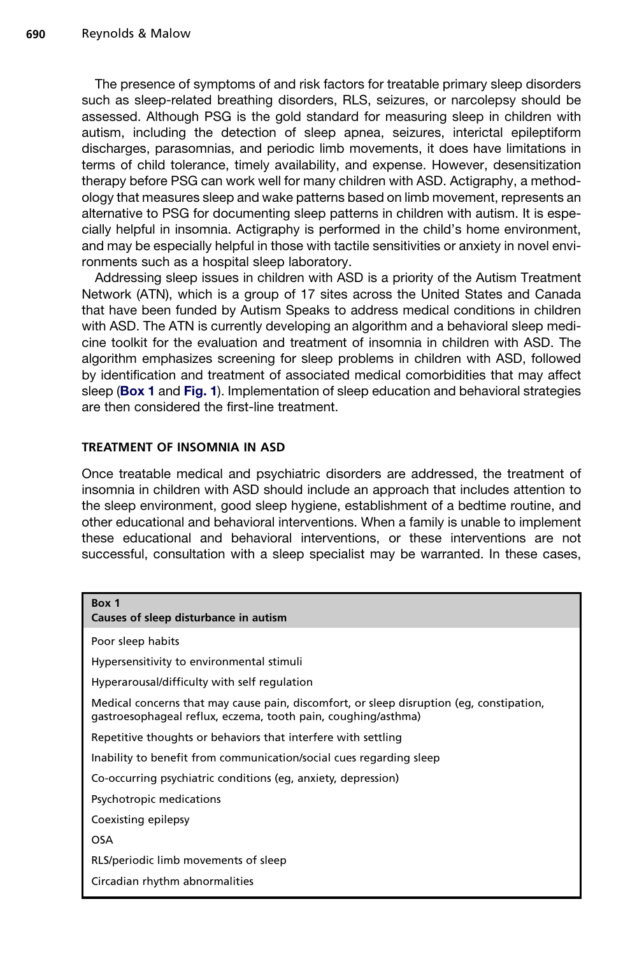The presence of symptoms of and risk factors for treatable primary sleep disorders such as sleep-related breathing disorders, RLS, seizures, or narcolepsy should be assessed. Although PSG is the gold standard for measuring sleep in children with autism, including the detection of sleep apnea, seizures, interictal epileptiform discharges, parasomnias, and periodic limb movements, it does have limitations in terms of child tolerance, timely availability, and expense. However, desensitization therapy before PSG can work well for many children with ASD. Actigraphy, a methodology that measures sleep and wake patterns based on limb movement, represents an alternative to PSG for documenting sleep patterns in children with autism. It is especially helpful in insomnia. Actigraphy is performed in the child's home environment, and may be especially helpful in those with tactile sensitivities or anxiety in novel environments such as a hospital sleep laboratory.

Addressing sleep issues in children with ASD is a priority of the Autism Treatment Network (ATN), which is a group of 17 sites across the United States and Canada that have been funded by Autism Speaks to address medical conditions in children with ASD. The ATN is currently developing an algorithm and a behavioral sleep medicine toolkit for the evaluation and treatment of insomnia in children with ASD. The algorithm emphasizes screening for sleep problems in children with ASD, followed by identification and treatment of associated medical comorbidities that may affect sleep (Box 1 and [Fig. 1](#page-6-0)). Implementation of sleep education and behavioral strategies are then considered the first-line treatment.

### TREATMENT OF INSOMNIA IN ASD

Once treatable medical and psychiatric disorders are addressed, the treatment of insomnia in children with ASD should include an approach that includes attention to the sleep environment, good sleep hygiene, establishment of a bedtime routine, and other educational and behavioral interventions. When a family is unable to implement these educational and behavioral interventions, or these interventions are not successful, consultation with a sleep specialist may be warranted. In these cases,

| Box 1                                                                                                                                                     |
|-----------------------------------------------------------------------------------------------------------------------------------------------------------|
| Causes of sleep disturbance in autism                                                                                                                     |
|                                                                                                                                                           |
| Poor sleep habits                                                                                                                                         |
| Hypersensitivity to environmental stimuli                                                                                                                 |
| Hyperarousal/difficulty with self regulation                                                                                                              |
| Medical concerns that may cause pain, discomfort, or sleep disruption (eq. constipation,<br>gastroesophageal reflux, eczema, tooth pain, coughing/asthma) |
| Repetitive thoughts or behaviors that interfere with settling                                                                                             |
| Inability to benefit from communication/social cues regarding sleep                                                                                       |
| Co-occurring psychiatric conditions (eq. anxiety, depression)                                                                                             |
| Psychotropic medications                                                                                                                                  |
| Coexisting epilepsy                                                                                                                                       |
| OSA                                                                                                                                                       |
| RLS/periodic limb movements of sleep                                                                                                                      |
| Circadian rhythm abnormalities                                                                                                                            |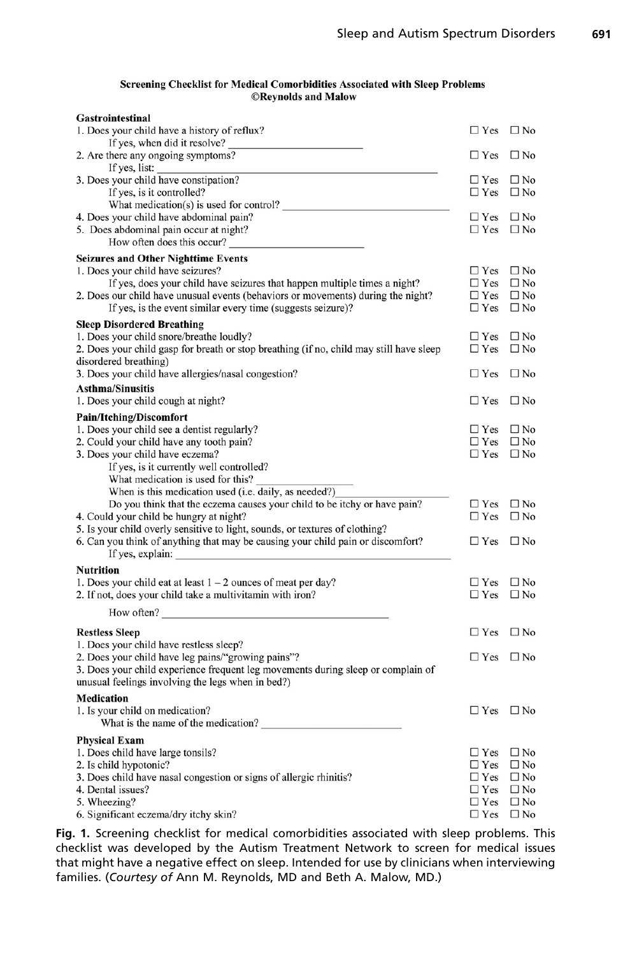#### Screening Checklist for Medical Comorbidities Associated with Sleep Problems **CReynolds and Malow**

<span id="page-6-0"></span>

| <b>Gastrointestinal</b>                                                                       |                          |                           |
|-----------------------------------------------------------------------------------------------|--------------------------|---------------------------|
| 1. Does your child have a history of reflux?                                                  | $\Box$ Yes               | $\square$ No              |
| If yes, when did it resolve?                                                                  |                          |                           |
| 2. Are there any ongoing symptoms?                                                            | $\Box$ Yes               | $\Box$ No                 |
| If yes, list:<br>3. Does your child have constipation?                                        | $\Box$ Yes               | $\square$ No              |
| If yes, is it controlled?                                                                     | $\Box$ Yes               | $\Box$ No                 |
| What medication(s) is used for control?                                                       |                          |                           |
| 4. Does your child have abdominal pain?                                                       | $\Box$ Yes               | $\square$ No              |
| 5. Does abdominal pain occur at night?                                                        | $\Box$ Yes               | $\square$ No              |
| How often does this occur?                                                                    |                          |                           |
| <b>Seizures and Other Nighttime Events</b>                                                    |                          |                           |
| 1. Does your child have seizures?                                                             | $\Box$ Yes               | $\Box$ No                 |
| If yes, does your child have seizures that happen multiple times a night?                     | $\Box$ Yes               | $\Box$ No                 |
| 2. Does our child have unusual events (behaviors or movements) during the night?              | $\Box$ Yes               | $\square$ No              |
| If yes, is the event similar every time (suggests seizure)?                                   | $\Box$ Yes               | $\Box$ No                 |
| <b>Sleep Disordered Breathing</b>                                                             |                          |                           |
| 1. Does your child snore/breathe loudly?                                                      | $\Box$ Yes               | $\Box$ No                 |
| 2. Does your child gasp for breath or stop breathing (if no, child may still have sleep       | $\Box$ Yes               | $\Box$ No                 |
| disordered breathing)                                                                         |                          |                           |
| 3. Does your child have allergies/nasal congestion?                                           | $\Box$ Yes               | $\Box$ No                 |
| <b>Asthma/Sinusitis</b>                                                                       |                          |                           |
| 1. Does your child cough at night?                                                            | $\Box$ Yes               | $\square$ No              |
| <b>Pain/Itching/Discomfort</b>                                                                |                          |                           |
| 1. Does your child see a dentist regularly?                                                   | $\Box$ Yes               | $\Box$ No                 |
| 2. Could your child have any tooth pain?                                                      | $\Box$ Yes               | $\square$ No              |
| 3. Does your child have eczema?                                                               | $\Box$ Yes               | $\square$ No              |
| If yes, is it currently well controlled?                                                      |                          |                           |
| What medication is used for this?                                                             |                          |                           |
| When is this medication used (i.e. daily, as needed?)                                         |                          |                           |
| Do you think that the eczema causes your child to be itchy or have pain?                      | $\Box$ Yes               | $\square$ No              |
| 4. Could your child be hungry at night?                                                       | $\Box$ Yes               | $\Box$ No                 |
| 5. Is your child overly sensitive to light, sounds, or textures of clothing?                  |                          |                           |
| 6. Can you think of anything that may be causing your child pain or discomfort?               | $\Box$ Yes               | $\Box$ No                 |
| If yes, explain:                                                                              |                          |                           |
| <b>Nutrition</b>                                                                              |                          |                           |
| 1. Does your child eat at least $1 - 2$ ounces of meat per day?                               | $\Box$ Yes               | $\Box$ No                 |
| 2. If not, does your child take a multivitamin with iron?                                     | $\Box$ Yes               | $\square$ No              |
| How often?                                                                                    |                          |                           |
|                                                                                               |                          |                           |
| <b>Restless Sleep</b>                                                                         | $\Box$ Yes               | $\Box$ No                 |
| 1. Does your child have restless sleep?<br>2. Does your child have leg pains/"growing pains"? | $\Box$ Yes               | $\square$ No              |
| 3. Does your child experience frequent leg movements during sleep or complain of              |                          |                           |
| unusual feelings involving the legs when in bed?)                                             |                          |                           |
|                                                                                               |                          |                           |
| <b>Medication</b><br>1. Is your child on medication?                                          | $\Box$ Yes               | $\square$ No              |
| What is the name of the medication?                                                           |                          |                           |
|                                                                                               |                          |                           |
| <b>Physical Exam</b>                                                                          |                          |                           |
| 1. Does child have large tonsils?                                                             | $\Box$ Yes               | $\square$ No              |
| 2. Is child hypotonic?                                                                        | $\Box$ Yes<br>$\Box$ Yes | $\square$ No<br>$\Box$ No |
| 3. Does child have nasal congestion or signs of allergic rhinitis?<br>4. Dental issues?       | $\Box$ Yes $\Box$ No     |                           |
| 5. Wheezing?                                                                                  | $\Box$ Yes               | $\Box$ No                 |
| 6. Significant eczema/dry itchy skin?                                                         | $\Box$ Yes               | $\square$ No              |
|                                                                                               |                          |                           |

Fig. 1. Screening checklist for medical comorbidities associated with sleep problems. This checklist was developed by the Autism Treatment Network to screen for medical issues that might have a negative effect on sleep. Intended for use by clinicians when interviewing families. (Courtesy of Ann M. Reynolds, MD and Beth A. Malow, MD.)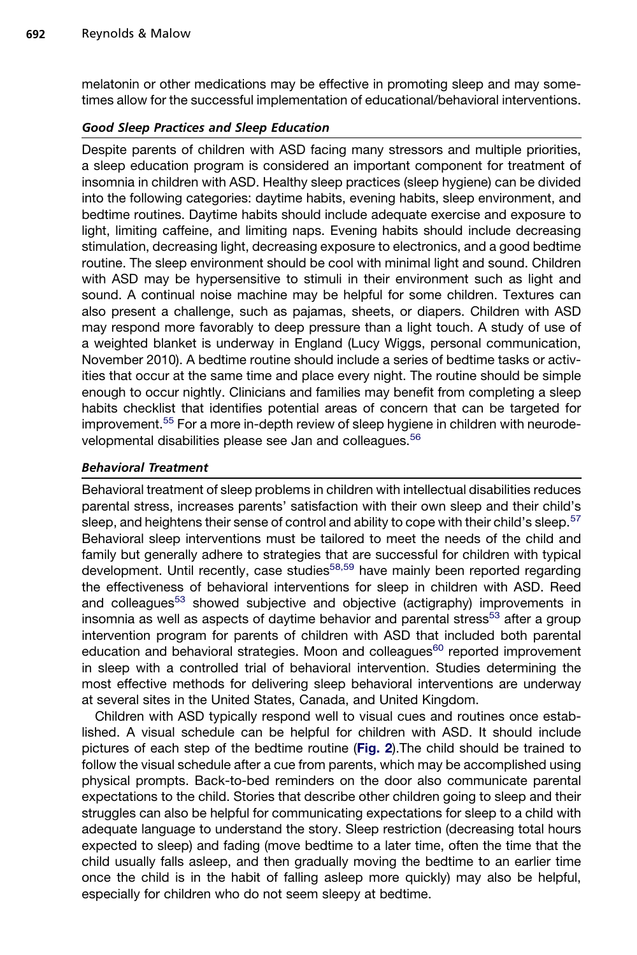melatonin or other medications may be effective in promoting sleep and may sometimes allow for the successful implementation of educational/behavioral interventions.

# Good Sleep Practices and Sleep Education

Despite parents of children with ASD facing many stressors and multiple priorities, a sleep education program is considered an important component for treatment of insomnia in children with ASD. Healthy sleep practices (sleep hygiene) can be divided into the following categories: daytime habits, evening habits, sleep environment, and bedtime routines. Daytime habits should include adequate exercise and exposure to light, limiting caffeine, and limiting naps. Evening habits should include decreasing stimulation, decreasing light, decreasing exposure to electronics, and a good bedtime routine. The sleep environment should be cool with minimal light and sound. Children with ASD may be hypersensitive to stimuli in their environment such as light and sound. A continual noise machine may be helpful for some children. Textures can also present a challenge, such as pajamas, sheets, or diapers. Children with ASD may respond more favorably to deep pressure than a light touch. A study of use of a weighted blanket is underway in England (Lucy Wiggs, personal communication, November 2010). A bedtime routine should include a series of bedtime tasks or activities that occur at the same time and place every night. The routine should be simple enough to occur nightly. Clinicians and families may benefit from completing a sleep habits checklist that identifies potential areas of concern that can be targeted for improvement.[55](#page-12-0) For a more in-depth review of sleep hygiene in children with neurode-velopmental disabilities please see Jan and colleagues.<sup>[56](#page-12-0)</sup>

### Behavioral Treatment

Behavioral treatment of sleep problems in children with intellectual disabilities reduces parental stress, increases parents' satisfaction with their own sleep and their child's sleep, and heightens their sense of control and ability to cope with their child's sleep.<sup>[57](#page-12-0)</sup> Behavioral sleep interventions must be tailored to meet the needs of the child and family but generally adhere to strategies that are successful for children with typical development. Until recently, case studies<sup>[58,59](#page-12-0)</sup> have mainly been reported regarding the effectiveness of behavioral interventions for sleep in children with ASD. Reed and colleagues<sup>[53](#page-12-0)</sup> showed subjective and objective (actigraphy) improvements in insomnia as well as aspects of daytime behavior and parental stress $^{53}$  $^{53}$  $^{53}$  after a group intervention program for parents of children with ASD that included both parental education and behavioral strategies. Moon and colleagues $60$  reported improvement in sleep with a controlled trial of behavioral intervention. Studies determining the most effective methods for delivering sleep behavioral interventions are underway at several sites in the United States, Canada, and United Kingdom.

Children with ASD typically respond well to visual cues and routines once established. A visual schedule can be helpful for children with ASD. It should include pictures of each step of the bedtime routine ([Fig. 2](#page-8-0)).The child should be trained to follow the visual schedule after a cue from parents, which may be accomplished using physical prompts. Back-to-bed reminders on the door also communicate parental expectations to the child. Stories that describe other children going to sleep and their struggles can also be helpful for communicating expectations for sleep to a child with adequate language to understand the story. Sleep restriction (decreasing total hours expected to sleep) and fading (move bedtime to a later time, often the time that the child usually falls asleep, and then gradually moving the bedtime to an earlier time once the child is in the habit of falling asleep more quickly) may also be helpful, especially for children who do not seem sleepy at bedtime.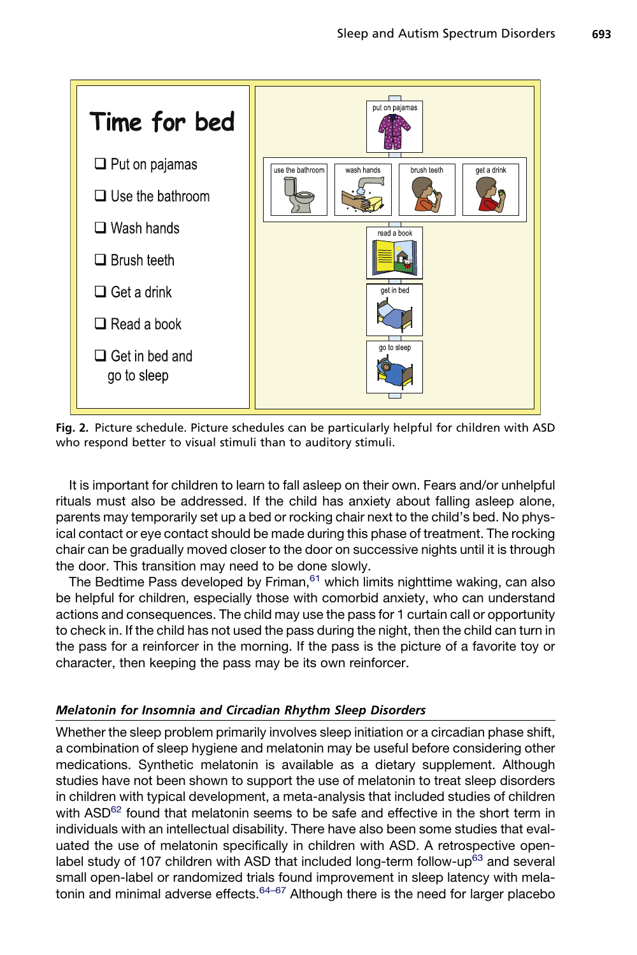<span id="page-8-0"></span>

Fig. 2. Picture schedule. Picture schedules can be particularly helpful for children with ASD who respond better to visual stimuli than to auditory stimuli.

It is important for children to learn to fall asleep on their own. Fears and/or unhelpful rituals must also be addressed. If the child has anxiety about falling asleep alone, parents may temporarily set up a bed or rocking chair next to the child's bed. No physical contact or eye contact should be made during this phase of treatment. The rocking chair can be gradually moved closer to the door on successive nights until it is through the door. This transition may need to be done slowly.

The Bedtime Pass developed by Friman,  $61$  which limits nighttime waking, can also be helpful for children, especially those with comorbid anxiety, who can understand actions and consequences. The child may use the pass for 1 curtain call or opportunity to check in. If the child has not used the pass during the night, then the child can turn in the pass for a reinforcer in the morning. If the pass is the picture of a favorite toy or character, then keeping the pass may be its own reinforcer.

### Melatonin for Insomnia and Circadian Rhythm Sleep Disorders

Whether the sleep problem primarily involves sleep initiation or a circadian phase shift, a combination of sleep hygiene and melatonin may be useful before considering other medications. Synthetic melatonin is available as a dietary supplement. Although studies have not been shown to support the use of melatonin to treat sleep disorders in children with typical development, a meta-analysis that included studies of children with  $ASD^{62}$  found that melatonin seems to be safe and effective in the short term in individuals with an intellectual disability. There have also been some studies that evaluated the use of melatonin specifically in children with ASD. A retrospective open-label study of 107 children with ASD that included long-term follow-up<sup>[63](#page-13-0)</sup> and several small open-label or randomized trials found improvement in sleep latency with melatonin and minimal adverse effects. $64-67$  Although there is the need for larger placebo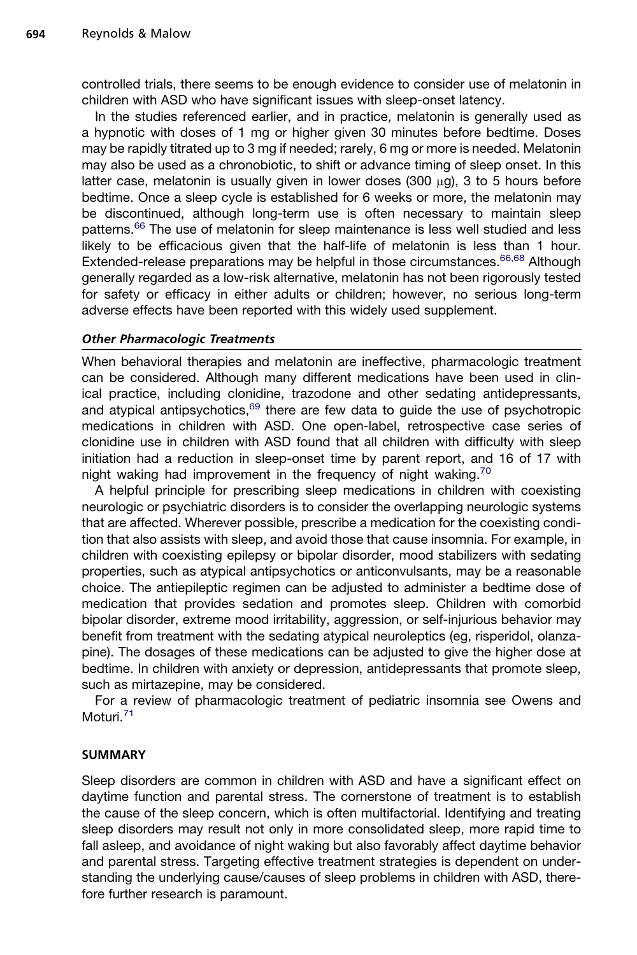controlled trials, there seems to be enough evidence to consider use of melatonin in children with ASD who have significant issues with sleep-onset latency.

In the studies referenced earlier, and in practice, melatonin is generally used as a hypnotic with doses of 1 mg or higher given 30 minutes before bedtime. Doses may be rapidly titrated up to 3 mg if needed; rarely, 6 mg or more is needed. Melatonin may also be used as a chronobiotic, to shift or advance timing of sleep onset. In this latter case, melatonin is usually given in lower doses (300  $\mu$ g), 3 to 5 hours before bedtime. Once a sleep cycle is established for 6 weeks or more, the melatonin may be discontinued, although long-term use is often necessary to maintain sleep patterns.<sup>[66](#page-13-0)</sup> The use of melatonin for sleep maintenance is less well studied and less likely to be efficacious given that the half-life of melatonin is less than 1 hour. Extended-release preparations may be helpful in those circumstances.<sup>[66,68](#page-13-0)</sup> Although generally regarded as a low-risk alternative, melatonin has not been rigorously tested for safety or efficacy in either adults or children; however, no serious long-term adverse effects have been reported with this widely used supplement.

#### Other Pharmacologic Treatments

When behavioral therapies and melatonin are ineffective, pharmacologic treatment can be considered. Although many different medications have been used in clinical practice, including clonidine, trazodone and other sedating antidepressants, and atypical antipsychotics, $69$  there are few data to guide the use of psychotropic medications in children with ASD. One open-label, retrospective case series of clonidine use in children with ASD found that all children with difficulty with sleep initiation had a reduction in sleep-onset time by parent report, and 16 of 17 with night waking had improvement in the frequency of night waking. $70$ 

A helpful principle for prescribing sleep medications in children with coexisting neurologic or psychiatric disorders is to consider the overlapping neurologic systems that are affected. Wherever possible, prescribe a medication for the coexisting condition that also assists with sleep, and avoid those that cause insomnia. For example, in children with coexisting epilepsy or bipolar disorder, mood stabilizers with sedating properties, such as atypical antipsychotics or anticonvulsants, may be a reasonable choice. The antiepileptic regimen can be adjusted to administer a bedtime dose of medication that provides sedation and promotes sleep. Children with comorbid bipolar disorder, extreme mood irritability, aggression, or self-injurious behavior may benefit from treatment with the sedating atypical neuroleptics (eg, risperidol, olanzapine). The dosages of these medications can be adjusted to give the higher dose at bedtime. In children with anxiety or depression, antidepressants that promote sleep, such as mirtazepine, may be considered.

For a review of pharmacologic treatment of pediatric insomnia see Owens and Moturi.<sup>[71](#page-13-0)</sup>

#### SUMMARY

Sleep disorders are common in children with ASD and have a significant effect on daytime function and parental stress. The cornerstone of treatment is to establish the cause of the sleep concern, which is often multifactorial. Identifying and treating sleep disorders may result not only in more consolidated sleep, more rapid time to fall asleep, and avoidance of night waking but also favorably affect daytime behavior and parental stress. Targeting effective treatment strategies is dependent on understanding the underlying cause/causes of sleep problems in children with ASD, therefore further research is paramount.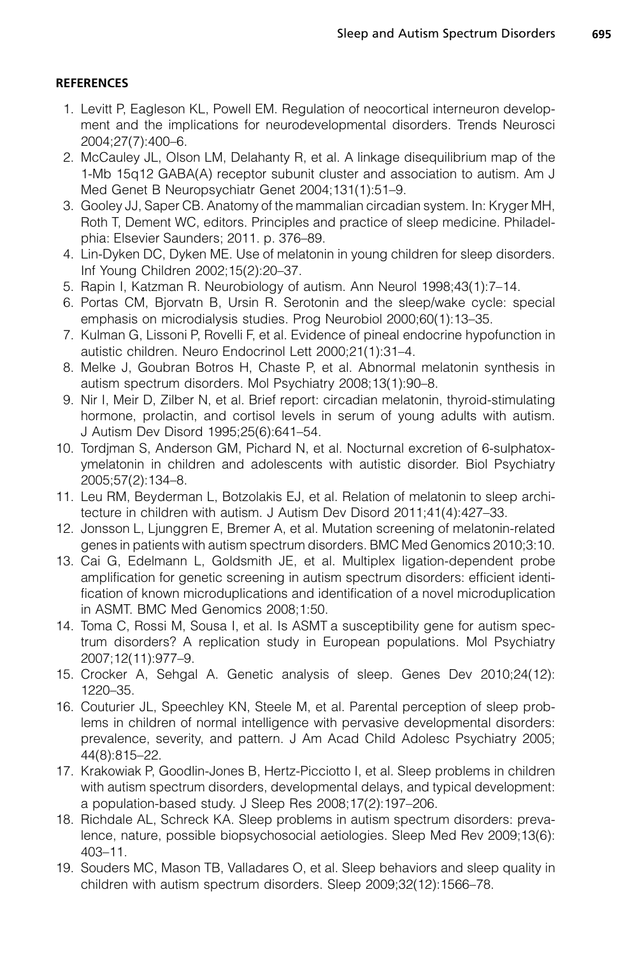# <span id="page-10-0"></span>**REFERENCES**

- 1. Levitt P, Eagleson KL, Powell EM. Regulation of neocortical interneuron development and the implications for neurodevelopmental disorders. Trends Neurosci 2004;27(7):400–6.
- 2. McCauley JL, Olson LM, Delahanty R, et al. A linkage disequilibrium map of the 1-Mb 15q12 GABA(A) receptor subunit cluster and association to autism. Am J Med Genet B Neuropsychiatr Genet 2004;131(1):51–9.
- 3. Gooley JJ, Saper CB. Anatomy of the mammalian circadian system. In: Kryger MH, Roth T, Dement WC, editors. Principles and practice of sleep medicine. Philadelphia: Elsevier Saunders; 2011. p. 376–89.
- 4. Lin-Dyken DC, Dyken ME. Use of melatonin in young children for sleep disorders. Inf Young Children 2002;15(2):20–37.
- 5. Rapin I, Katzman R. Neurobiology of autism. Ann Neurol 1998;43(1):7–14.
- 6. Portas CM, Bjorvatn B, Ursin R. Serotonin and the sleep/wake cycle: special emphasis on microdialysis studies. Prog Neurobiol 2000;60(1):13–35.
- 7. Kulman G, Lissoni P, Rovelli F, et al. Evidence of pineal endocrine hypofunction in autistic children. Neuro Endocrinol Lett 2000;21(1):31–4.
- 8. Melke J, Goubran Botros H, Chaste P, et al. Abnormal melatonin synthesis in autism spectrum disorders. Mol Psychiatry 2008;13(1):90–8.
- 9. Nir I, Meir D, Zilber N, et al. Brief report: circadian melatonin, thyroid-stimulating hormone, prolactin, and cortisol levels in serum of young adults with autism. J Autism Dev Disord 1995;25(6):641–54.
- 10. Tordjman S, Anderson GM, Pichard N, et al. Nocturnal excretion of 6-sulphatoxymelatonin in children and adolescents with autistic disorder. Biol Psychiatry 2005;57(2):134–8.
- 11. Leu RM, Beyderman L, Botzolakis EJ, et al. Relation of melatonin to sleep architecture in children with autism. J Autism Dev Disord 2011;41(4):427–33.
- 12. Jonsson L, Ljunggren E, Bremer A, et al. Mutation screening of melatonin-related genes in patients with autism spectrum disorders. BMC Med Genomics 2010;3:10.
- 13. Cai G, Edelmann L, Goldsmith JE, et al. Multiplex ligation-dependent probe amplification for genetic screening in autism spectrum disorders: efficient identification of known microduplications and identification of a novel microduplication in ASMT. BMC Med Genomics 2008;1:50.
- 14. Toma C, Rossi M, Sousa I, et al. Is ASMT a susceptibility gene for autism spectrum disorders? A replication study in European populations. Mol Psychiatry 2007;12(11):977–9.
- 15. Crocker A, Sehgal A. Genetic analysis of sleep. Genes Dev 2010;24(12): 1220–35.
- 16. Couturier JL, Speechley KN, Steele M, et al. Parental perception of sleep problems in children of normal intelligence with pervasive developmental disorders: prevalence, severity, and pattern. J Am Acad Child Adolesc Psychiatry 2005; 44(8):815–22.
- 17. Krakowiak P, Goodlin-Jones B, Hertz-Picciotto I, et al. Sleep problems in children with autism spectrum disorders, developmental delays, and typical development: a population-based study. J Sleep Res 2008;17(2):197–206.
- 18. Richdale AL, Schreck KA. Sleep problems in autism spectrum disorders: prevalence, nature, possible biopsychosocial aetiologies. Sleep Med Rev 2009;13(6): 403–11.
- 19. Souders MC, Mason TB, Valladares O, et al. Sleep behaviors and sleep quality in children with autism spectrum disorders. Sleep 2009;32(12):1566–78.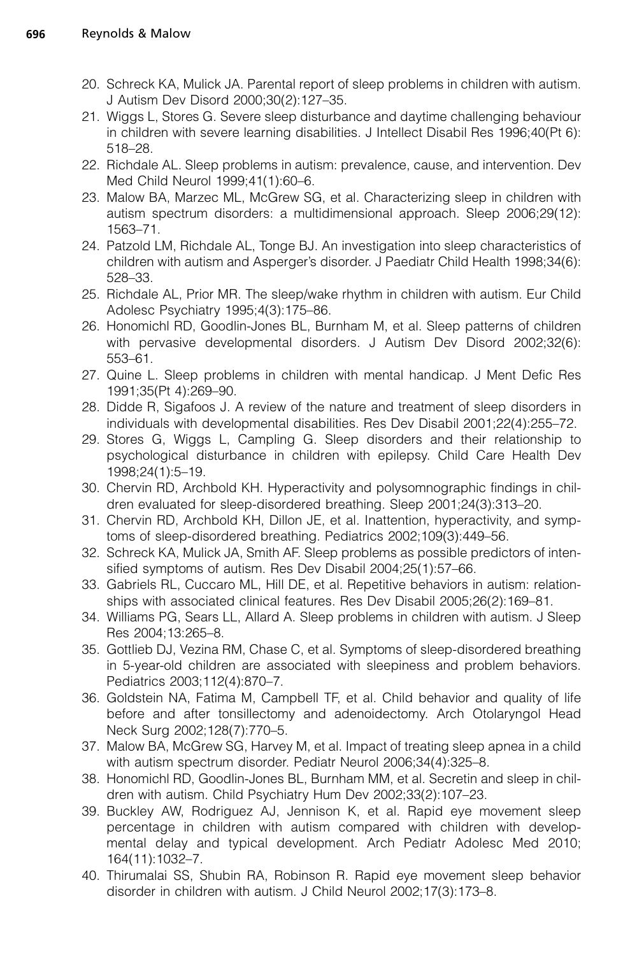- <span id="page-11-0"></span>20. Schreck KA, Mulick JA. Parental report of sleep problems in children with autism. J Autism Dev Disord 2000;30(2):127–35.
- 21. Wiggs L, Stores G. Severe sleep disturbance and daytime challenging behaviour in children with severe learning disabilities. J Intellect Disabil Res 1996;40(Pt 6): 518–28.
- 22. Richdale AL. Sleep problems in autism: prevalence, cause, and intervention. Dev Med Child Neurol 1999;41(1):60–6.
- 23. Malow BA, Marzec ML, McGrew SG, et al. Characterizing sleep in children with autism spectrum disorders: a multidimensional approach. Sleep 2006;29(12): 1563–71.
- 24. Patzold LM, Richdale AL, Tonge BJ. An investigation into sleep characteristics of children with autism and Asperger's disorder. J Paediatr Child Health 1998;34(6): 528–33.
- 25. Richdale AL, Prior MR. The sleep/wake rhythm in children with autism. Eur Child Adolesc Psychiatry 1995;4(3):175–86.
- 26. Honomichl RD, Goodlin-Jones BL, Burnham M, et al. Sleep patterns of children with pervasive developmental disorders. J Autism Dev Disord 2002;32(6): 553–61.
- 27. Quine L. Sleep problems in children with mental handicap. J Ment Defic Res 1991;35(Pt 4):269–90.
- 28. Didde R, Sigafoos J. A review of the nature and treatment of sleep disorders in individuals with developmental disabilities. Res Dev Disabil 2001;22(4):255–72.
- 29. Stores G, Wiggs L, Campling G. Sleep disorders and their relationship to psychological disturbance in children with epilepsy. Child Care Health Dev 1998;24(1):5–19.
- 30. Chervin RD, Archbold KH. Hyperactivity and polysomnographic findings in children evaluated for sleep-disordered breathing. Sleep 2001;24(3):313–20.
- 31. Chervin RD, Archbold KH, Dillon JE, et al. Inattention, hyperactivity, and symptoms of sleep-disordered breathing. Pediatrics 2002;109(3):449–56.
- 32. Schreck KA, Mulick JA, Smith AF. Sleep problems as possible predictors of intensified symptoms of autism. Res Dev Disabil 2004;25(1):57–66.
- 33. Gabriels RL, Cuccaro ML, Hill DE, et al. Repetitive behaviors in autism: relationships with associated clinical features. Res Dev Disabil 2005;26(2):169–81.
- 34. Williams PG, Sears LL, Allard A. Sleep problems in children with autism. J Sleep Res 2004;13:265–8.
- 35. Gottlieb DJ, Vezina RM, Chase C, et al. Symptoms of sleep-disordered breathing in 5-year-old children are associated with sleepiness and problem behaviors. Pediatrics 2003;112(4):870–7.
- 36. Goldstein NA, Fatima M, Campbell TF, et al. Child behavior and quality of life before and after tonsillectomy and adenoidectomy. Arch Otolaryngol Head Neck Surg 2002;128(7):770–5.
- 37. Malow BA, McGrew SG, Harvey M, et al. Impact of treating sleep apnea in a child with autism spectrum disorder. Pediatr Neurol 2006;34(4):325–8.
- 38. Honomichl RD, Goodlin-Jones BL, Burnham MM, et al. Secretin and sleep in children with autism. Child Psychiatry Hum Dev 2002;33(2):107–23.
- 39. Buckley AW, Rodriguez AJ, Jennison K, et al. Rapid eye movement sleep percentage in children with autism compared with children with developmental delay and typical development. Arch Pediatr Adolesc Med 2010; 164(11):1032–7.
- 40. Thirumalai SS, Shubin RA, Robinson R. Rapid eye movement sleep behavior disorder in children with autism. J Child Neurol 2002;17(3):173–8.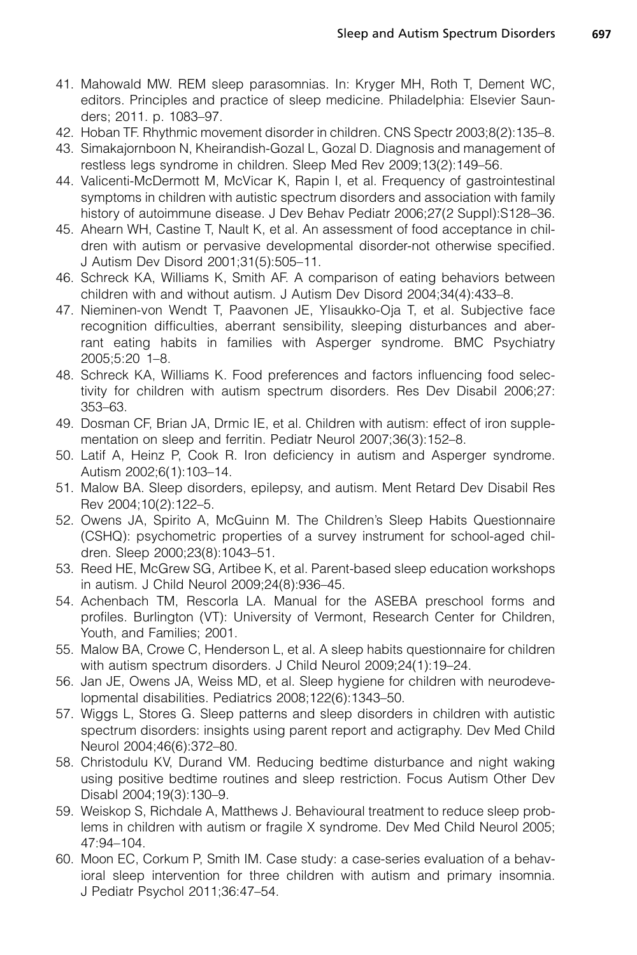- <span id="page-12-0"></span>41. Mahowald MW. REM sleep parasomnias. In: Kryger MH, Roth T, Dement WC, editors. Principles and practice of sleep medicine. Philadelphia: Elsevier Saunders; 2011. p. 1083–97.
- 42. Hoban TF. Rhythmic movement disorder in children. CNS Spectr 2003;8(2):135–8.
- 43. Simakajornboon N, Kheirandish-Gozal L, Gozal D. Diagnosis and management of restless legs syndrome in children. Sleep Med Rev 2009;13(2):149–56.
- 44. Valicenti-McDermott M, McVicar K, Rapin I, et al. Frequency of gastrointestinal symptoms in children with autistic spectrum disorders and association with family history of autoimmune disease. J Dev Behav Pediatr 2006;27(2 Suppl):S128–36.
- 45. Ahearn WH, Castine T, Nault K, et al. An assessment of food acceptance in children with autism or pervasive developmental disorder-not otherwise specified. J Autism Dev Disord 2001;31(5):505–11.
- 46. Schreck KA, Williams K, Smith AF. A comparison of eating behaviors between children with and without autism. J Autism Dev Disord 2004;34(4):433–8.
- 47. Nieminen-von Wendt T, Paavonen JE, Ylisaukko-Oja T, et al. Subjective face recognition difficulties, aberrant sensibility, sleeping disturbances and aberrant eating habits in families with Asperger syndrome. BMC Psychiatry 2005;5:20 1–8.
- 48. Schreck KA, Williams K. Food preferences and factors influencing food selectivity for children with autism spectrum disorders. Res Dev Disabil 2006;27: 353–63.
- 49. Dosman CF, Brian JA, Drmic IE, et al. Children with autism: effect of iron supplementation on sleep and ferritin. Pediatr Neurol 2007;36(3):152–8.
- 50. Latif A, Heinz P, Cook R. Iron deficiency in autism and Asperger syndrome. Autism 2002;6(1):103–14.
- 51. Malow BA. Sleep disorders, epilepsy, and autism. Ment Retard Dev Disabil Res Rev 2004;10(2):122–5.
- 52. Owens JA, Spirito A, McGuinn M. The Children's Sleep Habits Questionnaire (CSHQ): psychometric properties of a survey instrument for school-aged children. Sleep 2000;23(8):1043–51.
- 53. Reed HE, McGrew SG, Artibee K, et al. Parent-based sleep education workshops in autism. J Child Neurol 2009;24(8):936–45.
- 54. Achenbach TM, Rescorla LA. Manual for the ASEBA preschool forms and profiles. Burlington (VT): University of Vermont, Research Center for Children, Youth, and Families; 2001.
- 55. Malow BA, Crowe C, Henderson L, et al. A sleep habits questionnaire for children with autism spectrum disorders. J Child Neurol 2009;24(1):19–24.
- 56. Jan JE, Owens JA, Weiss MD, et al. Sleep hygiene for children with neurodevelopmental disabilities. Pediatrics 2008;122(6):1343–50.
- 57. Wiggs L, Stores G. Sleep patterns and sleep disorders in children with autistic spectrum disorders: insights using parent report and actigraphy. Dev Med Child Neurol 2004;46(6):372–80.
- 58. Christodulu KV, Durand VM. Reducing bedtime disturbance and night waking using positive bedtime routines and sleep restriction. Focus Autism Other Dev Disabl 2004;19(3):130–9.
- 59. Weiskop S, Richdale A, Matthews J. Behavioural treatment to reduce sleep problems in children with autism or fragile X syndrome. Dev Med Child Neurol 2005; 47:94–104.
- 60. Moon EC, Corkum P, Smith IM. Case study: a case-series evaluation of a behavioral sleep intervention for three children with autism and primary insomnia. J Pediatr Psychol 2011;36:47–54.